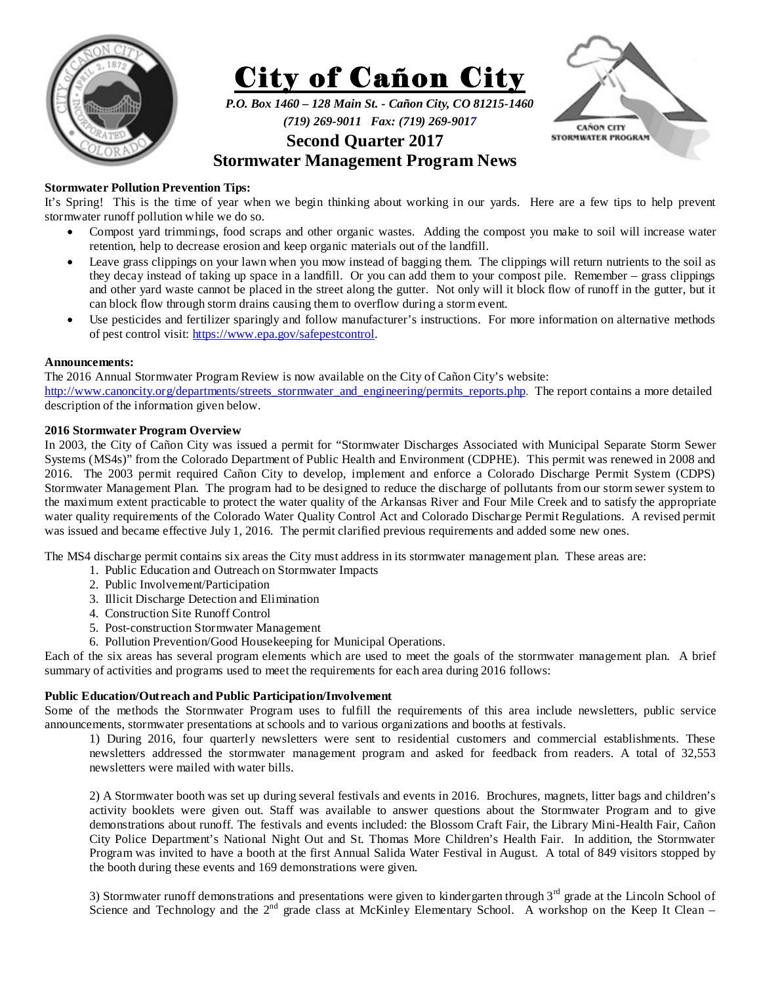



*P.O. Box 1460 – 128 Main St. - Cañon City, CO 81215-1460 (719) 269-9011 Fax: (719) 269-9017* 



# **Second Quarter 2017**

## **Stormwater Management Program News**

## **Stormwater Pollution Prevention Tips:**

It's Spring! This is the time of year when we begin thinking about working in our yards. Here are a few tips to help prevent stormwater runoff pollution while we do so.

- Compost yard trimmings, food scraps and other organic wastes. Adding the compost you make to soil will increase water retention, help to decrease erosion and keep organic materials out of the landfill.
- Leave grass clippings on your lawn when you mow instead of bagging them. The clippings will return nutrients to the soil as they decay instead of taking up space in a landfill. Or you can add them to your compost pile. Remember – grass clippings and other yard waste cannot be placed in the street along the gutter. Not only will it block flow of runoff in the gutter, but it can block flow through storm drains causing them to overflow during a storm event.
- Use pesticides and fertilizer sparingly and follow manufacturer's instructions. For more information on alternative methods of pest control visit: https://www.epa.gov/safepestcontrol.

## **Announcements:**

The 2016 Annual Stormwater Program Review is now available on the City of Cañon City's website: http://www.canoncity.org/departments/streets\_stormwater\_and\_engineering/permits\_reports.php. The report contains a more detailed description of the information given below.

## **2016 Stormwater Program Overview**

In 2003, the City of Cañon City was issued a permit for "Stormwater Discharges Associated with Municipal Separate Storm Sewer Systems (MS4s)" from the Colorado Department of Public Health and Environment (CDPHE). This permit was renewed in 2008 and 2016. The 2003 permit required Cañon City to develop, implement and enforce a Colorado Discharge Permit System (CDPS) Stormwater Management Plan. The program had to be designed to reduce the discharge of pollutants from our storm sewer system to the maximum extent practicable to protect the water quality of the Arkansas River and Four Mile Creek and to satisfy the appropriate water quality requirements of the Colorado Water Quality Control Act and Colorado Discharge Permit Regulations. A revised permit was issued and became effective July 1, 2016. The permit clarified previous requirements and added some new ones.

The MS4 discharge permit contains six areas the City must address in its stormwater management plan. These areas are:

- 1. Public Education and Outreach on Stormwater Impacts
- 2. Public Involvement/Participation
- 3. Illicit Discharge Detection and Elimination
- 4. Construction Site Runoff Control
- 5. Post-construction Stormwater Management
- 6. Pollution Prevention/Good Housekeeping for Municipal Operations.

Each of the six areas has several program elements which are used to meet the goals of the stormwater management plan. A brief summary of activities and programs used to meet the requirements for each area during 2016 follows:

## **Public Education/Outreach and Public Participation/Involvement**

Some of the methods the Stormwater Program uses to fulfill the requirements of this area include newsletters, public service announcements, stormwater presentations at schools and to various organizations and booths at festivals.

1) During 2016, four quarterly newsletters were sent to residential customers and commercial establishments. These newsletters addressed the stormwater management program and asked for feedback from readers. A total of 32,553 newsletters were mailed with water bills.

2) A Stormwater booth was set up during several festivals and events in 2016. Brochures, magnets, litter bags and children's activity booklets were given out. Staff was available to answer questions about the Stormwater Program and to give demonstrations about runoff. The festivals and events included: the Blossom Craft Fair, the Library Mini-Health Fair, Cañon City Police Department's National Night Out and St. Thomas More Children's Health Fair. In addition, the Stormwater Program was invited to have a booth at the first Annual Salida Water Festival in August. A total of 849 visitors stopped by the booth during these events and 169 demonstrations were given.

3) Stormwater runoff demonstrations and presentations were given to kindergarten through  $3<sup>rd</sup>$  grade at the Lincoln School of Science and Technology and the  $2<sup>nd</sup>$  grade class at McKinley Elementary School. A workshop on the Keep It Clean –